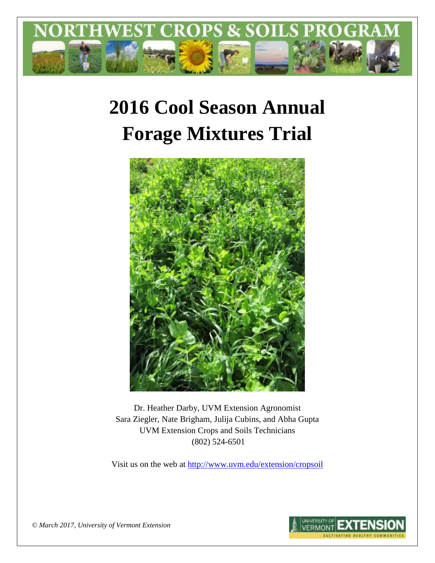

# **2016 Cool Season Annual Forage Mixtures Trial**



Dr. Heather Darby, UVM Extension Agronomist Sara Ziegler, Nate Brigham, Julija Cubins, and Abha Gupta UVM Extension Crops and Soils Technicians (802) 524-6501

Visit us on the web at <http://www.uvm.edu/extension/cropsoil>



*© March 2017, University of Vermont Extension*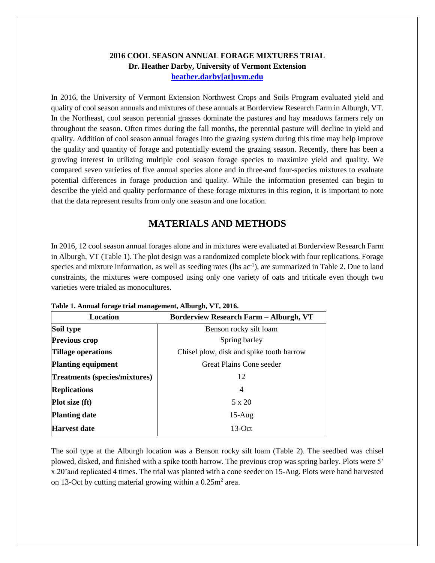#### **2016 COOL SEASON ANNUAL FORAGE MIXTURES TRIAL Dr. Heather Darby, University of Vermont Extension [heather.darby\[at\]uvm.edu](mailto:heather.darby@uvm.edu?subject=2013%20Long%20Season%20Corn%20Report)**

In 2016, the University of Vermont Extension Northwest Crops and Soils Program evaluated yield and quality of cool season annuals and mixtures of these annuals at Borderview Research Farm in Alburgh, VT. In the Northeast, cool season perennial grasses dominate the pastures and hay meadows farmers rely on throughout the season. Often times during the fall months, the perennial pasture will decline in yield and quality. Addition of cool season annual forages into the grazing system during this time may help improve the quality and quantity of forage and potentially extend the grazing season. Recently, there has been a growing interest in utilizing multiple cool season forage species to maximize yield and quality. We compared seven varieties of five annual species alone and in three-and four-species mixtures to evaluate potential differences in forage production and quality. While the information presented can begin to describe the yield and quality performance of these forage mixtures in this region, it is important to note that the data represent results from only one season and one location.

# **MATERIALS AND METHODS**

In 2016, 12 cool season annual forages alone and in mixtures were evaluated at Borderview Research Farm in Alburgh, VT (Table 1). The plot design was a randomized complete block with four replications. Forage species and mixture information, as well as seeding rates (lbs  $ac^{-1}$ ), are summarized in Table 2. Due to land constraints, the mixtures were composed using only one variety of oats and triticale even though two varieties were trialed as monocultures.

| Location                             | <b>Borderview Research Farm - Alburgh, VT</b> |  |  |
|--------------------------------------|-----------------------------------------------|--|--|
| Soil type                            | Benson rocky silt loam                        |  |  |
| <b>Previous crop</b>                 | Spring barley                                 |  |  |
| <b>Tillage operations</b>            | Chisel plow, disk and spike tooth harrow      |  |  |
| <b>Planting equipment</b>            | Great Plains Cone seeder                      |  |  |
| <b>Treatments (species/mixtures)</b> | 12                                            |  |  |
| <b>Replications</b>                  | 4                                             |  |  |
| <b>Plot size (ft)</b>                | $5 \times 20$                                 |  |  |
| <b>Planting date</b>                 | $15$ -Aug                                     |  |  |
| <b>Harvest date</b>                  | $13-Oct$                                      |  |  |

**Table 1. Annual forage trial management, Alburgh, VT, 2016.**

The soil type at the Alburgh location was a Benson rocky silt loam (Table 2). The seedbed was chisel plowed, disked, and finished with a spike tooth harrow. The previous crop was spring barley. Plots were 5' x 20'and replicated 4 times. The trial was planted with a cone seeder on 15-Aug. Plots were hand harvested on 13-Oct by cutting material growing within a  $0.25$ m<sup>2</sup> area.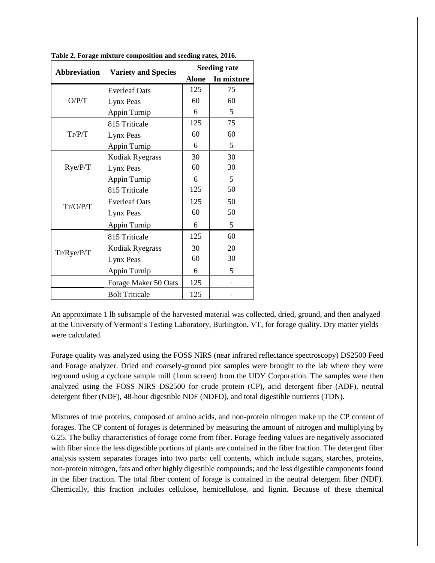| <b>Abbreviation</b> | <b>Variety and Species</b> | <b>Seeding rate</b> |            |  |
|---------------------|----------------------------|---------------------|------------|--|
|                     |                            | <b>Alone</b>        | In mixture |  |
|                     | <b>Everleaf Oats</b>       | 125                 | 75         |  |
| O/P/T               | Lynx Peas                  | 60                  | 60         |  |
|                     | Appin Turnip               | 6                   | 5          |  |
|                     | 815 Triticale              | 125                 | 75         |  |
| Tr/P/T              | Lynx Peas                  | 60                  | 60         |  |
|                     | Appin Turnip               | 6                   | 5          |  |
| Rye/P/T             | Kodiak Ryegrass            | 30                  | 30         |  |
|                     | Lynx Peas                  | 60                  | 30         |  |
|                     | Appin Turnip               | 6                   | 5          |  |
| Tr/O/P/T            | 815 Triticale              | 125                 | 50         |  |
|                     | <b>Everleaf Oats</b>       | 125                 | 50         |  |
|                     | Lynx Peas                  | 60                  | 50         |  |
|                     | Appin Turnip               | 6                   | 5          |  |
| Tr/Rye/P/T          | 815 Triticale              | 125                 | 60         |  |
|                     | Kodiak Ryegrass            | 30                  | 20         |  |
|                     | Lynx Peas                  | 60                  | 30         |  |
|                     | Appin Turnip               | 6                   | 5          |  |
|                     | Forage Maker 50 Oats       | 125                 |            |  |
|                     | <b>Bolt Triticale</b>      | 125                 |            |  |

**Table 2. Forage mixture composition and seeding rates, 2016.**

An approximate 1 lb subsample of the harvested material was collected, dried, ground, and then analyzed at the University of Vermont's Testing Laboratory, Burlington, VT, for forage quality. Dry matter yields were calculated.

Forage quality was analyzed using the FOSS NIRS (near infrared reflectance spectroscopy) DS2500 Feed and Forage analyzer. Dried and coarsely-ground plot samples were brought to the lab where they were reground using a cyclone sample mill (1mm screen) from the UDY Corporation. The samples were then analyzed using the FOSS NIRS DS2500 for crude protein (CP), acid detergent fiber (ADF), neutral detergent fiber (NDF), 48-hour digestible NDF (NDFD), and total digestible nutrients (TDN).

Mixtures of true proteins, composed of amino acids, and non-protein nitrogen make up the CP content of forages. The CP content of forages is determined by measuring the amount of nitrogen and multiplying by 6.25. The bulky characteristics of forage come from fiber. Forage feeding values are negatively associated with fiber since the less digestible portions of plants are contained in the fiber fraction. The detergent fiber analysis system separates forages into two parts: cell contents, which include sugars, starches, proteins, non-protein nitrogen, fats and other highly digestible compounds; and the less digestible components found in the fiber fraction. The total fiber content of forage is contained in the neutral detergent fiber (NDF). Chemically, this fraction includes cellulose, hemicellulose, and lignin. Because of these chemical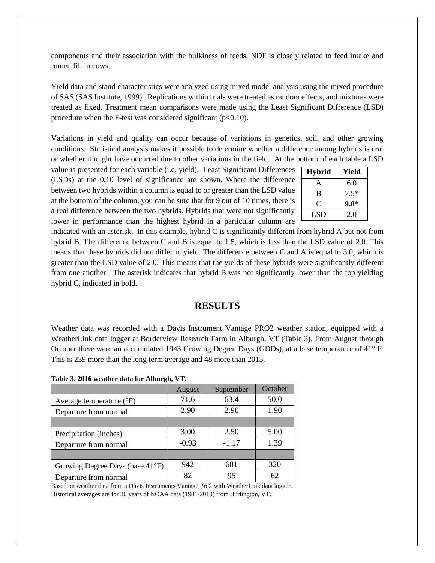components and their association with the bulkiness of feeds, NDF is closely related to feed intake and rumen fill in cows.

Yield data and stand characteristics were analyzed using mixed model analysis using the mixed procedure of SAS (SAS Institute, 1999). Replications within trials were treated as random effects, and mixtures were treated as fixed. Treatment mean comparisons were made using the Least Significant Difference (LSD) procedure when the F-test was considered significant  $(p<0.10)$ .

Variations in yield and quality can occur because of variations in genetics, soil, and other growing conditions. Statistical analysis makes it possible to determine whether a difference among hybrids is real or whether it might have occurred due to other variations in the field. At the bottom of each table a LSD

value is presented for each variable (i.e. yield). Least Significant Differences (LSDs) at the 0.10 level of significance are shown. Where the difference between two hybrids within a column is equal to or greater than the LSD value at the bottom of the column, you can be sure that for 9 out of 10 times, there is a real difference between the two hybrids. Hybrids that were not significantly lower in performance than the highest hybrid in a particular column are

| <b>Hybrid</b> | Yield  |
|---------------|--------|
| A             | 6.0    |
| B             | $7.5*$ |
| ( `           | $9.0*$ |
| LSD           | 2.0    |

indicated with an asterisk. In this example, hybrid C is significantly different from hybrid A but not from hybrid B. The difference between C and B is equal to 1.5, which is less than the LSD value of 2.0. This means that these hybrids did not differ in yield. The difference between C and A is equal to 3.0, which is greater than the LSD value of 2.0. This means that the yields of these hybrids were significantly different from one another. The asterisk indicates that hybrid B was not significantly lower than the top yielding hybrid C, indicated in bold.

### **RESULTS**

Weather data was recorded with a Davis Instrument Vantage PRO2 weather station, equipped with a WeatherLink data logger at Borderview Research Farm in Alburgh, VT (Table 3). From August through October there were an accumulated 1943 Growing Degree Days (GDDs), at a base temperature of 41° F. This is 239 more than the long term average and 48 more than 2015.

|  |  |  |  |  | Table 3. 2016 weather data for Alburgh, VT. |  |
|--|--|--|--|--|---------------------------------------------|--|
|--|--|--|--|--|---------------------------------------------|--|

|                                     | August  | September | October |
|-------------------------------------|---------|-----------|---------|
| Average temperature $({}^{\circ}F)$ | 71.6    | 63.4      | 50.0    |
| Departure from normal               | 2.90    | 2.90      | 1.90    |
|                                     |         |           |         |
| Precipitation (inches)              | 3.00    | 2.50      | 5.00    |
| Departure from normal               | $-0.93$ | $-1.17$   | 1.39    |
|                                     |         |           |         |
| Growing Degree Days (base 41°F)     | 942     | 681       | 320     |
| Departure from normal               | 82      | 95        |         |

Based on weather data from a Davis Instruments Vantage Pro2 with WeatherLink data logger. Historical averages are for 30 years of NOAA data (1981-2010) from Burlington, VT.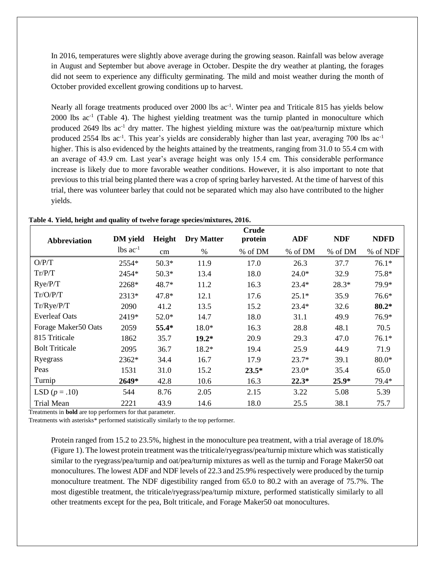In 2016, temperatures were slightly above average during the growing season. Rainfall was below average in August and September but above average in October. Despite the dry weather at planting, the forages did not seem to experience any difficulty germinating. The mild and moist weather during the month of October provided excellent growing conditions up to harvest.

Nearly all forage treatments produced over 2000 lbs ac<sup>-1</sup>. Winter pea and Triticale 815 has yields below 2000 lbs ac<sup>-1</sup> (Table 4). The highest yielding treatment was the turnip planted in monoculture which produced 2649 lbs ac<sup>-1</sup> dry matter. The highest yielding mixture was the oat/pea/turnip mixture which produced 2554 lbs ac<sup>-1</sup>. This year's yields are considerably higher than last year, averaging 700 lbs ac<sup>-1</sup> higher. This is also evidenced by the heights attained by the treatments, ranging from 31.0 to 55.4 cm with an average of 43.9 cm. Last year's average height was only 15.4 cm. This considerable performance increase is likely due to more favorable weather conditions. However, it is also important to note that previous to this trial being planted there was a crop of spring barley harvested. At the time of harvest of this trial, there was volunteer barley that could not be separated which may also have contributed to the higher yields.

|                       |                        |         |                   | <b>Crude</b> |            |            |             |
|-----------------------|------------------------|---------|-------------------|--------------|------------|------------|-------------|
| <b>Abbreviation</b>   | <b>DM</b> yield        | Height  | <b>Dry Matter</b> | protein      | <b>ADF</b> | <b>NDF</b> | <b>NDFD</b> |
|                       | $lbs$ ac <sup>-1</sup> | cm      | $\%$              | % of DM      | % of DM    | % of DM    | % of NDF    |
| O/P/T                 | 2554*                  | $50.3*$ | 11.9              | 17.0         | 26.3       | 37.7       | $76.1*$     |
| Tr/P/T                | 2454*                  | $50.3*$ | 13.4              | 18.0         | $24.0*$    | 32.9       | 75.8*       |
| Rye/P/T               | 2268*                  | 48.7*   | 11.2              | 16.3         | $23.4*$    | 28.3*      | 79.9*       |
| Tr/O/PT               | 2313*                  | 47.8*   | 12.1              | 17.6         | $25.1*$    | 35.9       | $76.6*$     |
| Tr/Rye/P/T            | 2090                   | 41.2    | 13.5              | 15.2         | $23.4*$    | 32.6       | $80.2*$     |
| <b>Everleaf Oats</b>  | 2419*                  | $52.0*$ | 14.7              | 18.0         | 31.1       | 49.9       | 76.9*       |
| Forage Maker50 Oats   | 2059                   | 55.4*   | $18.0*$           | 16.3         | 28.8       | 48.1       | 70.5        |
| 815 Triticale         | 1862                   | 35.7    | $19.2*$           | 20.9         | 29.3       | 47.0       | $76.1*$     |
| <b>Bolt Triticale</b> | 2095                   | 36.7    | 18.2*             | 19.4         | 25.9       | 44.9       | 71.9        |
| Ryegrass              | 2362*                  | 34.4    | 16.7              | 17.9         | $23.7*$    | 39.1       | $80.0*$     |
| Peas                  | 1531                   | 31.0    | 15.2              | $23.5*$      | $23.0*$    | 35.4       | 65.0        |
| Turnip                | 2649*                  | 42.8    | 10.6              | 16.3         | $22.3*$    | $25.9*$    | 79.4*       |
| LSD $(p=.10)$         | 544                    | 8.76    | 2.05              | 2.15         | 3.22       | 5.08       | 5.39        |
| <b>Trial Mean</b>     | 2221                   | 43.9    | 14.6              | 18.0         | 25.5       | 38.1       | 75.7        |

**Table 4. Yield, height and quality of twelve forage species/mixtures, 2016.**

Treatments in **bold** are top performers for that parameter.

Treatments with asterisks\* performed statistically similarly to the top performer.

Protein ranged from 15.2 to 23.5%, highest in the monoculture pea treatment, with a trial average of 18.0% (Figure 1). The lowest protein treatment was the triticale/ryegrass/pea/turnip mixture which was statistically similar to the ryegrass/pea/turnip and oat/pea/turnip mixtures as well as the turnip and Forage Maker50 oat monocultures. The lowest ADF and NDF levels of 22.3 and 25.9% respectively were produced by the turnip monoculture treatment. The NDF digestibility ranged from 65.0 to 80.2 with an average of 75.7%. The most digestible treatment, the triticale/ryegrass/pea/turnip mixture, performed statistically similarly to all other treatments except for the pea, Bolt triticale, and Forage Maker50 oat monocultures.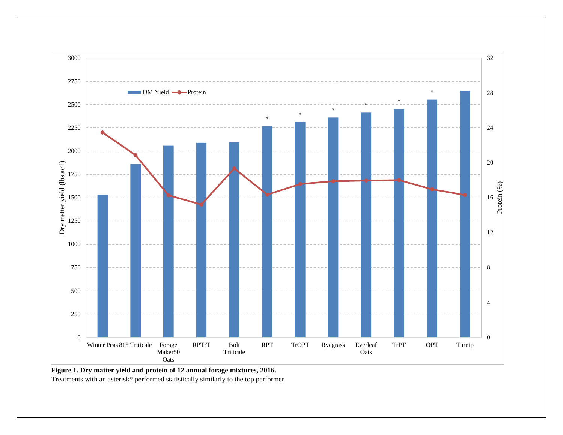

**Figure 1. Dry matter yield and protein of 12 annual forage mixtures, 2016.** Treatments with an asterisk\* performed statistically similarly to the top performer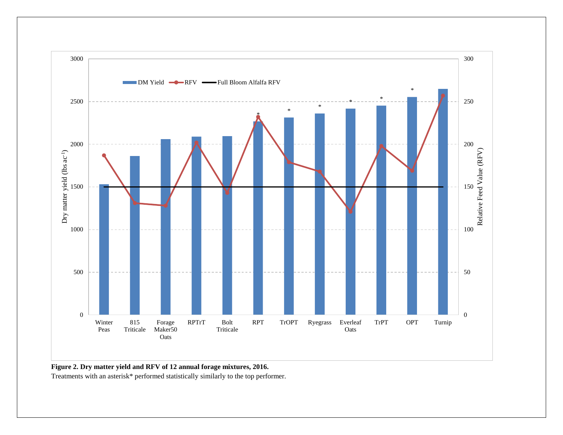

**Figure 2. Dry matter yield and RFV of 12 annual forage mixtures, 2016.**

Treatments with an asterisk\* performed statistically similarly to the top performer.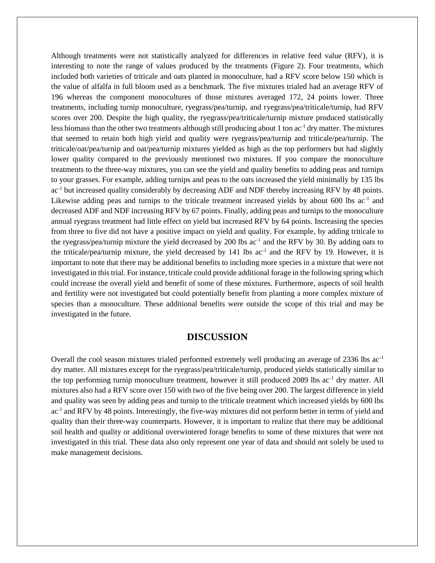Although treatments were not statistically analyzed for differences in relative feed value (RFV), it is interesting to note the range of values produced by the treatments (Figure 2). Four treatments, which included both varieties of triticale and oats planted in monoculture, had a RFV score below 150 which is the value of alfalfa in full bloom used as a benchmark. The five mixtures trialed had an average RFV of 196 whereas the component monocultures of those mixtures averaged 172, 24 points lower. Three treatments, including turnip monoculture, ryegrass/pea/turnip, and ryegrass/pea/triticale/turnip, had RFV scores over 200. Despite the high quality, the ryegrass/pea/triticale/turnip mixture produced statistically less biomass than the other two treatments although still producing about 1 ton ac<sup>-1</sup> dry matter. The mixtures that seemed to retain both high yield and quality were ryegrass/pea/turnip and triticale/pea/turnip. The triticale/oat/pea/turnip and oat/pea/turnip mixtures yielded as high as the top performers but had slightly lower quality compared to the previously mentioned two mixtures. If you compare the monoculture treatments to the three-way mixtures, you can see the yield and quality benefits to adding peas and turnips to your grasses. For example, adding turnips and peas to the oats increased the yield minimally by 135 lbs ac-1 but increased quality considerably by decreasing ADF and NDF thereby increasing RFV by 48 points. Likewise adding peas and turnips to the triticale treatment increased yields by about 600 lbs ac<sup>-1</sup> and decreased ADF and NDF increasing RFV by 67 points. Finally, adding peas and turnips to the monoculture annual ryegrass treatment had little effect on yield but increased RFV by 64 points. Increasing the species from three to five did not have a positive impact on yield and quality. For example, by adding triticale to the ryegrass/pea/turnip mixture the yield decreased by 200 lbs ac<sup>-1</sup> and the RFV by 30. By adding oats to the triticale/pea/turnip mixture, the yield decreased by  $141$  lbs  $ac^{-1}$  and the RFV by 19. However, it is important to note that there may be additional benefits to including more species in a mixture that were not investigated in this trial. For instance, triticale could provide additional forage in the following spring which could increase the overall yield and benefit of some of these mixtures. Furthermore, aspects of soil health and fertility were not investigated but could potentially benefit from planting a more complex mixture of species than a monoculture. These additional benefits were outside the scope of this trial and may be investigated in the future.

#### **DISCUSSION**

Overall the cool season mixtures trialed performed extremely well producing an average of 2336 lbs ac-1 dry matter. All mixtures except for the ryegrass/pea/triticale/turnip, produced yields statistically similar to the top performing turnip monoculture treatment, however it still produced 2089 lbs ac-1 dry matter. All mixtures also had a RFV score over 150 with two of the five being over 200. The largest difference in yield and quality was seen by adding peas and turnip to the triticale treatment which increased yields by 600 lbs ac<sup>-1</sup> and RFV by 48 points. Interestingly, the five-way mixtures did not perform better in terms of yield and quality than their three-way counterparts. However, it is important to realize that there may be additional soil health and quality or additional overwintered forage benefits to some of these mixtures that were not investigated in this trial. These data also only represent one year of data and should not solely be used to make management decisions.